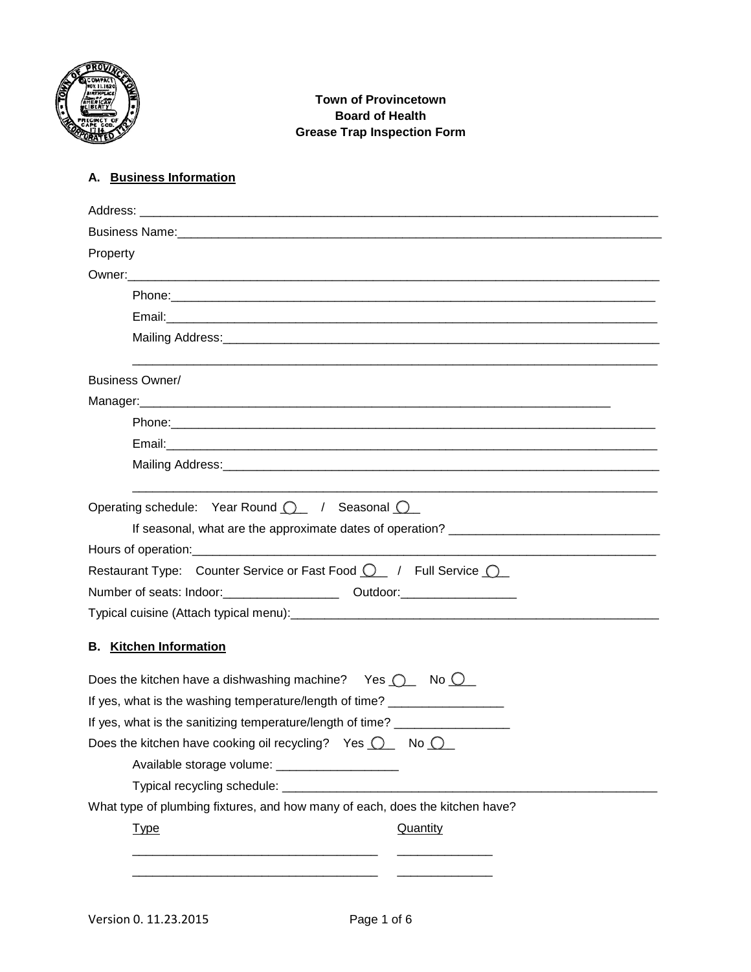

# **A. Business Information**

| Business Name: 1990 and 200 and 200 and 200 and 200 and 200 and 200 and 200 and 200 and 200 and 200 and 200 and 200 and 200 and 200 and 200 and 200 and 200 and 200 and 200 and 200 and 200 and 200 and 200 and 200 and 200 an |
|--------------------------------------------------------------------------------------------------------------------------------------------------------------------------------------------------------------------------------|
| Property                                                                                                                                                                                                                       |
|                                                                                                                                                                                                                                |
|                                                                                                                                                                                                                                |
|                                                                                                                                                                                                                                |
|                                                                                                                                                                                                                                |
|                                                                                                                                                                                                                                |
| Business Owner/                                                                                                                                                                                                                |
|                                                                                                                                                                                                                                |
|                                                                                                                                                                                                                                |
|                                                                                                                                                                                                                                |
|                                                                                                                                                                                                                                |
| Operating schedule: Year Round $\bigcap$ / Seasonal $\bigcap$                                                                                                                                                                  |
|                                                                                                                                                                                                                                |
| Hours of operation: example and a series of the series of the series of the series of the series of the series                                                                                                                 |
| Restaurant Type: Counter Service or Fast Food 0 / Full Service 0                                                                                                                                                               |
|                                                                                                                                                                                                                                |
|                                                                                                                                                                                                                                |
|                                                                                                                                                                                                                                |
| <b>B.</b> Kitchen Information                                                                                                                                                                                                  |
| Does the kitchen have a dishwashing machine? Yes $\bigcap$ No $\bigcirc$                                                                                                                                                       |
| If yes, what is the washing temperature/length of time? _______________________                                                                                                                                                |
| If yes, what is the sanitizing temperature/length of time? _____________________                                                                                                                                               |
| Does the kitchen have cooking oil recycling? Yes $\bigcirc$ No $\bigcirc$                                                                                                                                                      |
| Available storage volume: _____________________                                                                                                                                                                                |
|                                                                                                                                                                                                                                |
| What type of plumbing fixtures, and how many of each, does the kitchen have?                                                                                                                                                   |
| Quantity<br><u>Type</u>                                                                                                                                                                                                        |
|                                                                                                                                                                                                                                |
|                                                                                                                                                                                                                                |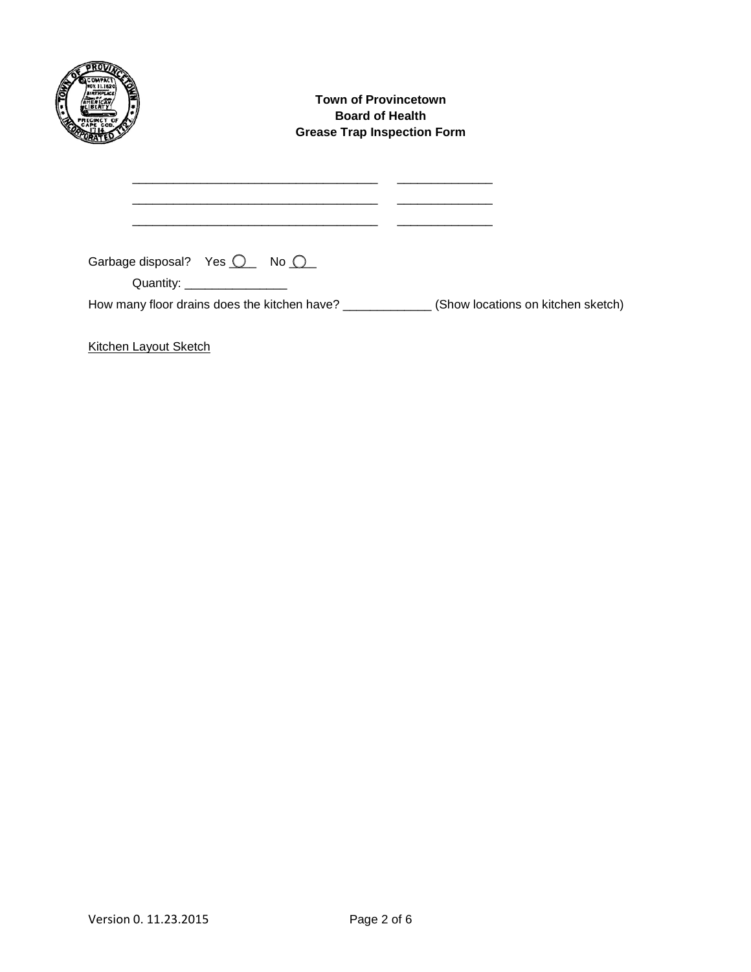|                                                                                        | <b>Town of Provincetown</b><br><b>Board of Health</b><br><b>Grease Trap Inspection Form</b> |                                                                                                |
|----------------------------------------------------------------------------------------|---------------------------------------------------------------------------------------------|------------------------------------------------------------------------------------------------|
|                                                                                        |                                                                                             |                                                                                                |
| Garbage disposal? Yes $\overline{O}$ No $\overline{O}$<br>Quantity: __________________ |                                                                                             | How many floor drains does the kitchen have? _______________(Show locations on kitchen sketch) |

Kitchen Layout Sketch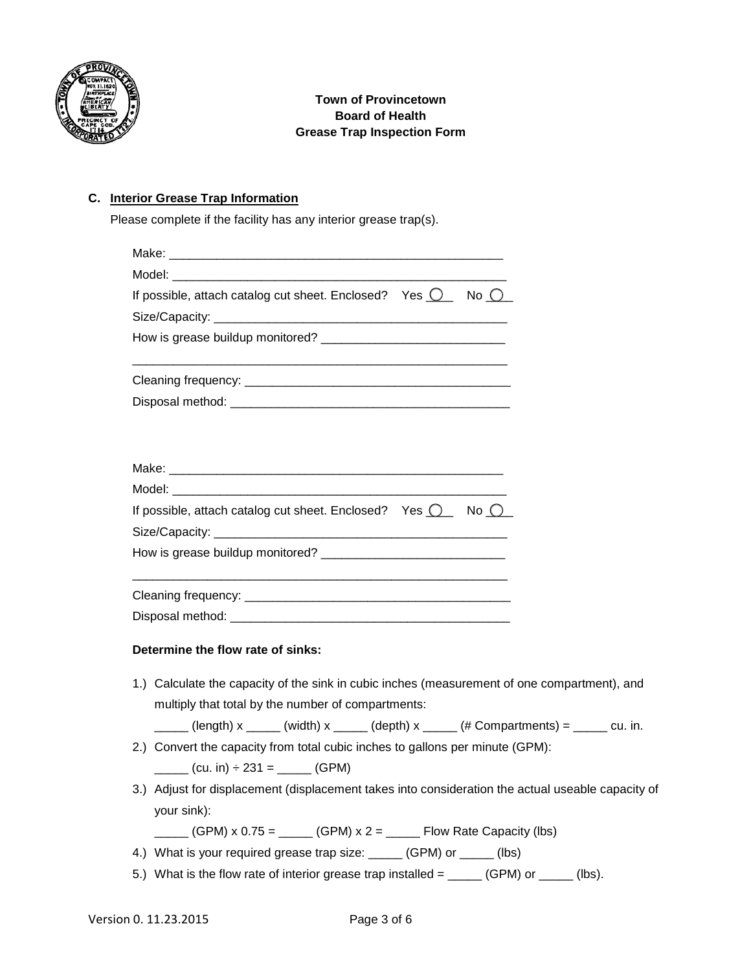

#### **C. Interior Grease Trap Information**

Please complete if the facility has any interior grease trap(s).

| If possible, attach catalog cut sheet. Enclosed? Yes $\bigcirc$ No $\bigcirc$ |  |
|-------------------------------------------------------------------------------|--|
|                                                                               |  |
|                                                                               |  |
|                                                                               |  |
|                                                                               |  |
|                                                                               |  |
|                                                                               |  |
|                                                                               |  |
|                                                                               |  |
|                                                                               |  |
| If possible, attach catalog cut sheet. Enclosed? Yes $\bigcirc$ No $\bigcirc$ |  |
|                                                                               |  |
|                                                                               |  |
|                                                                               |  |
|                                                                               |  |
|                                                                               |  |
|                                                                               |  |
| Determine the flow rate of sinks:                                             |  |
|                                                                               |  |

1.) Calculate the capacity of the sink in cubic inches (measurement of one compartment), and multiply that total by the number of compartments:

 $\frac{1}{\sqrt{1-\frac{1}{n}}}\$  (length) x \_\_\_\_\_ (width) x \_\_\_\_ (depth) x \_\_\_\_\_ (# Compartments) = \_\_\_\_\_ cu. in.

2.) Convert the capacity from total cubic inches to gallons per minute (GPM):

 $\frac{1}{\sqrt{1-\frac{1}{\sqrt{1-\frac{1}{\sqrt{1-\frac{1}{\sqrt{1-\frac{1}{\sqrt{1-\frac{1}{\sqrt{1-\frac{1}{\sqrt{1-\frac{1}{\sqrt{1-\frac{1}{\sqrt{1-\frac{1}{\sqrt{1-\frac{1}{\sqrt{1-\frac{1}{\sqrt{1-\frac{1}{\sqrt{1-\frac{1}{\sqrt{1-\frac{1}{\sqrt{1-\frac{1}{\sqrt{1-\frac{1}{\sqrt{1-\frac{1}{\sqrt{1-\frac{1}{\sqrt{1-\frac{1}{\sqrt{1-\frac{1}{\sqrt{1-\frac{1}{\sqrt{1-\frac{1}{\sqrt{1-\frac{1}{\sqrt{1-\frac{1$ 

3.) Adjust for displacement (displacement takes into consideration the actual useable capacity of your sink):

 $\frac{1}{2}$  (GPM) x 0.75 =  $\frac{1}{2}$  (GPM) x 2 =  $\frac{1}{2}$  Flow Rate Capacity (lbs)

- 4.) What is your required grease trap size: \_\_\_\_\_ (GPM) or \_\_\_\_ (lbs)
- 5.) What is the flow rate of interior grease trap installed =  $\_\_\_\_$  (GPM) or  $\_\_\_\_$  (lbs).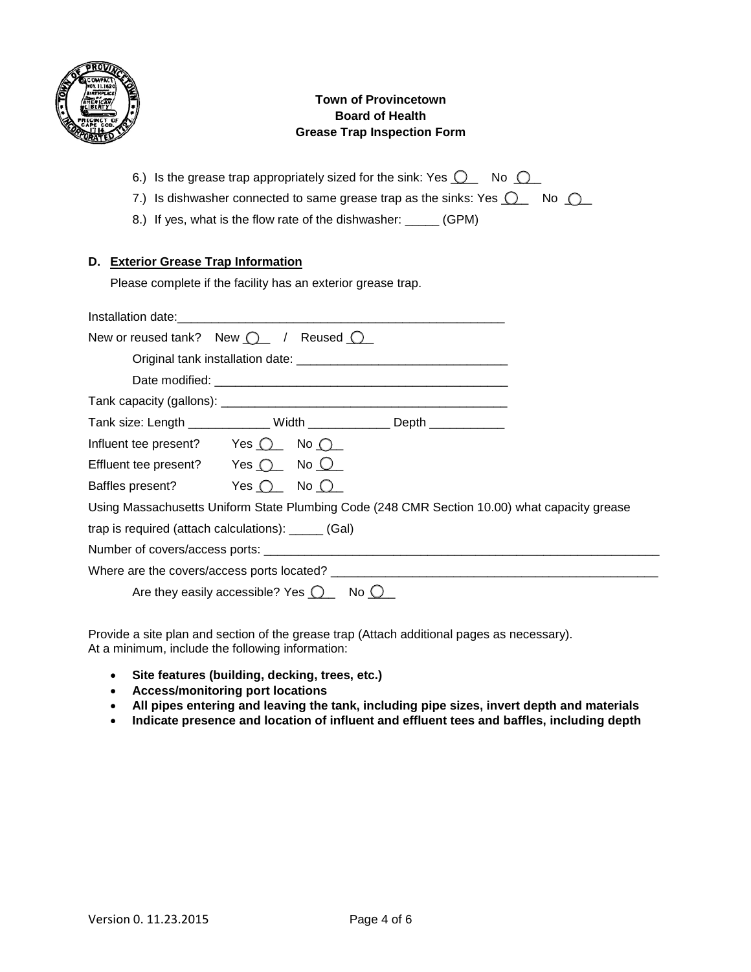

- 6.) Is the grease trap appropriately sized for the sink: Yes  $\bigcirc$  No  $\bigcirc$
- 7.) Is dishwasher connected to same grease trap as the sinks: Yes  $\bigcirc$  No  $\bigcirc$
- 8.) If yes, what is the flow rate of the dishwasher: \_\_\_\_\_ (GPM)

#### **D. Exterior Grease Trap Information**

Please complete if the facility has an exterior grease trap.

| Installation date: the control of the control of the control of the control of the control of the control of the control of the control of the control of the control of the control of the control of the control of the cont |                                                          |                                                                                              |
|--------------------------------------------------------------------------------------------------------------------------------------------------------------------------------------------------------------------------------|----------------------------------------------------------|----------------------------------------------------------------------------------------------|
| New or reused tank? New $\bigcap$ / Reused $\bigcap$                                                                                                                                                                           |                                                          |                                                                                              |
|                                                                                                                                                                                                                                |                                                          |                                                                                              |
|                                                                                                                                                                                                                                |                                                          |                                                                                              |
|                                                                                                                                                                                                                                |                                                          |                                                                                              |
|                                                                                                                                                                                                                                |                                                          | Tank size: Length ______________ Width _____________ Depth ____________                      |
| Influent tee present? Yes $\bigcirc$ No $\bigcirc$                                                                                                                                                                             |                                                          |                                                                                              |
| Effluent tee present? Yes $\bigcirc$ No $\bigcirc$                                                                                                                                                                             |                                                          |                                                                                              |
|                                                                                                                                                                                                                                |                                                          |                                                                                              |
|                                                                                                                                                                                                                                |                                                          | Using Massachusetts Uniform State Plumbing Code (248 CMR Section 10.00) what capacity grease |
| trap is required (attach calculations): ______ (Gal)                                                                                                                                                                           |                                                          |                                                                                              |
|                                                                                                                                                                                                                                |                                                          |                                                                                              |
|                                                                                                                                                                                                                                |                                                          |                                                                                              |
|                                                                                                                                                                                                                                | Are they easily accessible? Yes $\bigcirc$ No $\bigcirc$ |                                                                                              |

Provide a site plan and section of the grease trap (Attach additional pages as necessary). At a minimum, include the following information:

- **Site features (building, decking, trees, etc.)**
- **Access/monitoring port locations**
- **All pipes entering and leaving the tank, including pipe sizes, invert depth and materials**
- **Indicate presence and location of influent and effluent tees and baffles, including depth**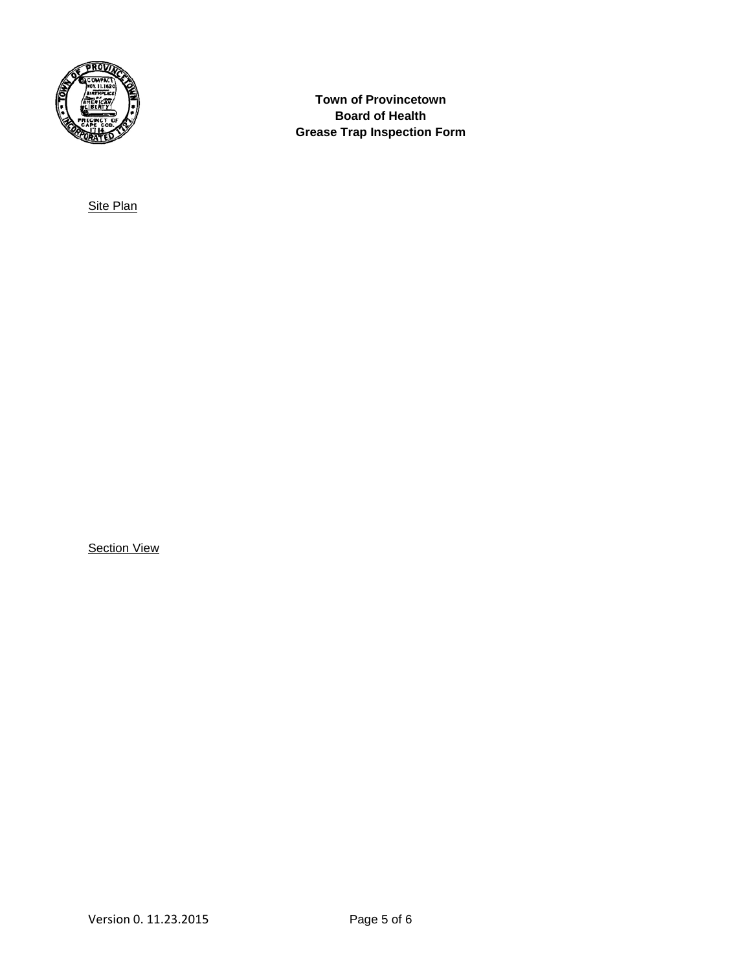

**Site Plan** 

**Section View**